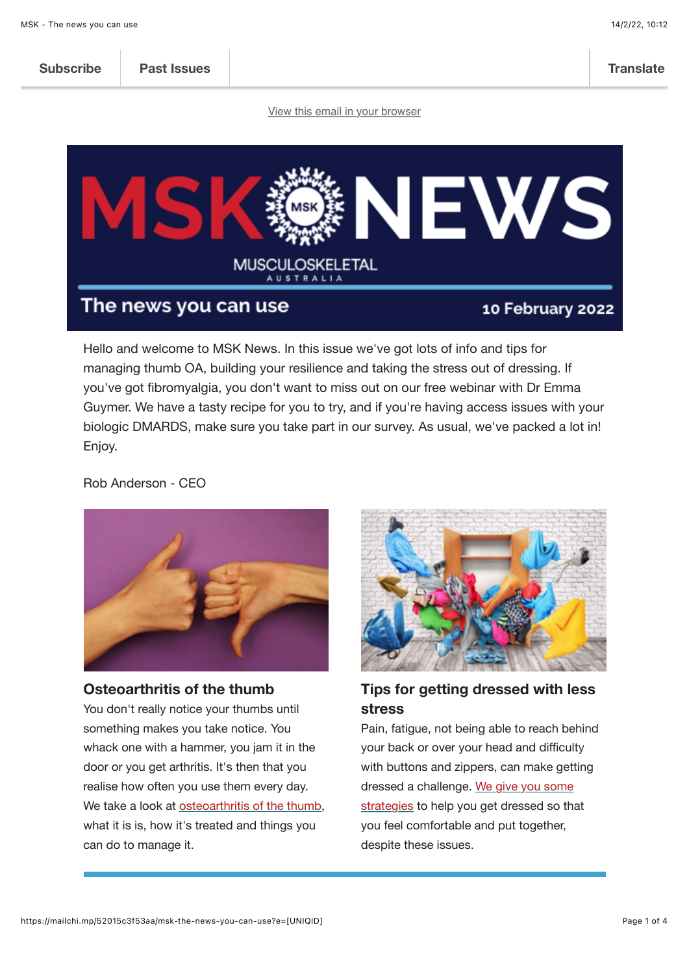| <b>Subscribe</b> | <b>Past Issues</b> |                                                                                                                 | <b>Translate</b> |
|------------------|--------------------|-----------------------------------------------------------------------------------------------------------------|------------------|
|                  |                    | the contract of the contract of the contract of the contract of the contract of the contract of the contract of |                  |

[View this email in your browser](https://mailchi.mp/52015c3f53aa/msk-the-news-you-can-use?e=%5BUNIQID%5D)



Hello and welcome to MSK News. In this issue we've got lots of info and tips for managing thumb OA, building your resilience and taking the stress out of dressing. If you've got fibromyalgia, you don't want to miss out on our free webinar with Dr Emma Guymer. We have a tasty recipe for you to try, and if you're having access issues with your biologic DMARDS, make sure you take part in our survey. As usual, we've packed a lot in! Enjoy.

Rob Anderson - CEO



### **Osteoarthritis of the thumb**

You don't really notice your thumbs until something makes you take notice. You whack one with a hammer, you jam it in the door or you get arthritis. It's then that you realise how often you use them every day. We take a look at [osteoarthritis of the thumb,](https://msk.org.au/OA-thumbs/) what it is is, how it's treated and things you can do to manage it.



# **Tips for getting dressed with less stress**

Pain, fatigue, not being able to reach behind your back or over your head and difficulty with buttons and zippers, can make getting dressed a challenge. We give you some [strategies to help you get dressed so th](https://msk.org.au/dressing-hacks/)at you feel comfortable and put together, despite these issues.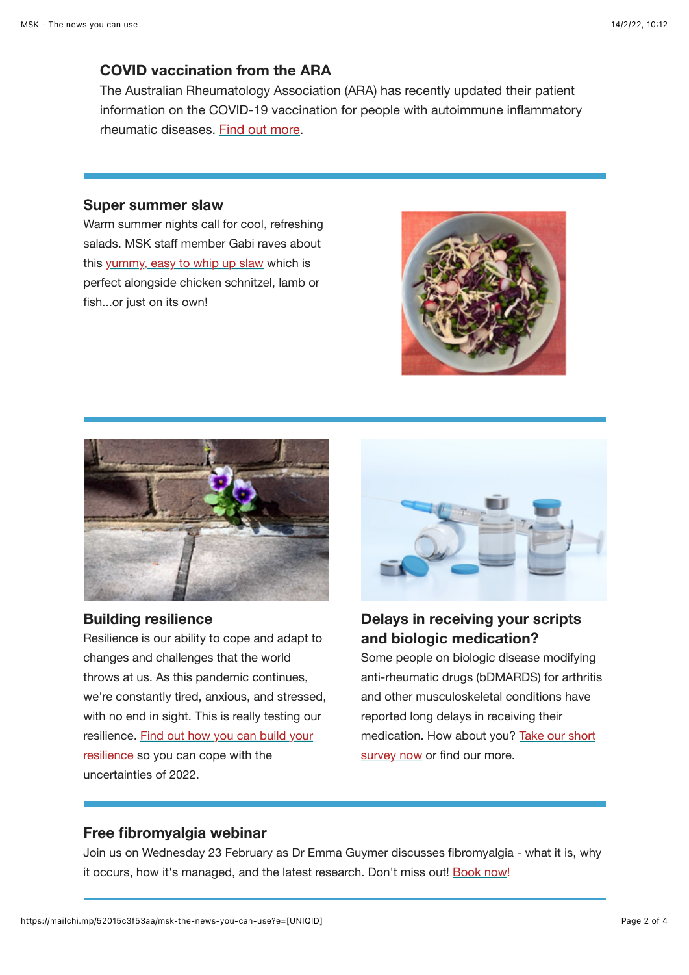### **COVID vaccination from the ARA**

The Australian Rheumatology Association (ARA) has recently updated their patient information on the COVID-19 vaccination for people with autoimmune inflammatory rheumatic diseases. [Find out more](https://rheumatology.org.au/For-Patients/COVID-Information/COVID-Vaccination-Information).

#### **Super summer slaw**

Warm summer nights call for cool, refreshing salads. MSK staff member Gabi raves about this [yummy, easy to whip up slaw](https://msk.org.au/summer-slaw/) which is perfect alongside chicken schnitzel, lamb or fish...or just on its own!





### **Building resilience**

Resilience is our ability to cope and adapt to changes and challenges that the world throws at us. As this pandemic continues, we're constantly tired, anxious, and stressed, with no end in sight. This is really testing our [resilience. Find out how you can build your](https://msk.org.au/resilience/) resilience so you can cope with the uncertainties of 2022.



# **Delays in receiving your scripts and biologic medication?**

Some people on biologic disease modifying anti-rheumatic drugs (bDMARDS) for arthritis and other musculoskeletal conditions have reported long delays in receiving their [medication. How about you? Take our short](https://msk.org.au/bdmards-survey) survey now or find our more.

### **Free fibromyalgia webinar**

Join us on Wednesday 23 February as Dr Emma Guymer discusses fibromyalgia - what it is, why it occurs, how it's managed, and the latest research. Don't miss out! [Book now](https://msk.org.au/events/all-about-fibromyalgia/)!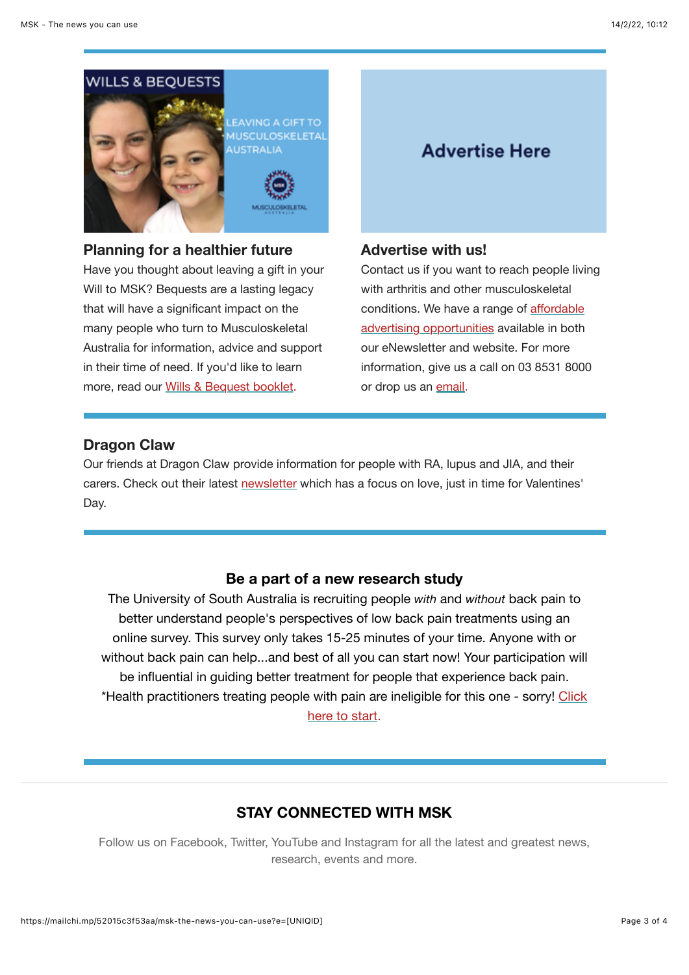# **WILLS & BEQUESTS**



**EAVING A GIFT TO HUSCULOSKELETAI** USTRALIA

### **Planning for a healthier future**

Have you thought about leaving a gift in your Will to MSK? Bequests are a lasting legacy that will have a significant impact on the many people who turn to Musculoskeletal Australia for information, advice and support in their time of need. If you'd like to learn more, read our [Wills & Bequest booklet](https://msk.org.au/bequests/).

# **Advertise Here**

### **Advertise with us!**

Contact us if you want to reach people living with arthritis and other musculoskeletal conditions. We have a range of affordable [advertising opportunities available in both](https://msk.org.au/advertise-with-us/) our eNewsletter and website. For more information, give us a call on 03 8531 8000 or drop us an [email.](mailto:advertising@msk.org.au)

### **Dragon Claw**

Our friends at Dragon Claw provide information for people with RA, lupus and JIA, and their carers. Check out their latest [newsletter](https://www.dragonclaw.net/newsletters/newsletter-february-2022) which has a focus on love, just in time for Valentines' Day.

### **Be a part of a new research study**

The University of South Australia is recruiting people *with* and *without* back pain to better understand people's perspectives of low back pain treatments using an online survey. This survey only takes 15-25 minutes of your time. Anyone with or without back pain can help...and best of all you can start now! Your participation will be influential in guiding better treatment for people that experience back pain. \*Health practitioners treating peopl[e with pain are ineligible for this one - sorry! Click](https://bit.ly/3CXoWQC) here to start.

### **STAY CONNECTED WITH MSK**

Follow us on Facebook, Twitter, YouTube and Instagram for all the latest and greatest news, research, events and more.